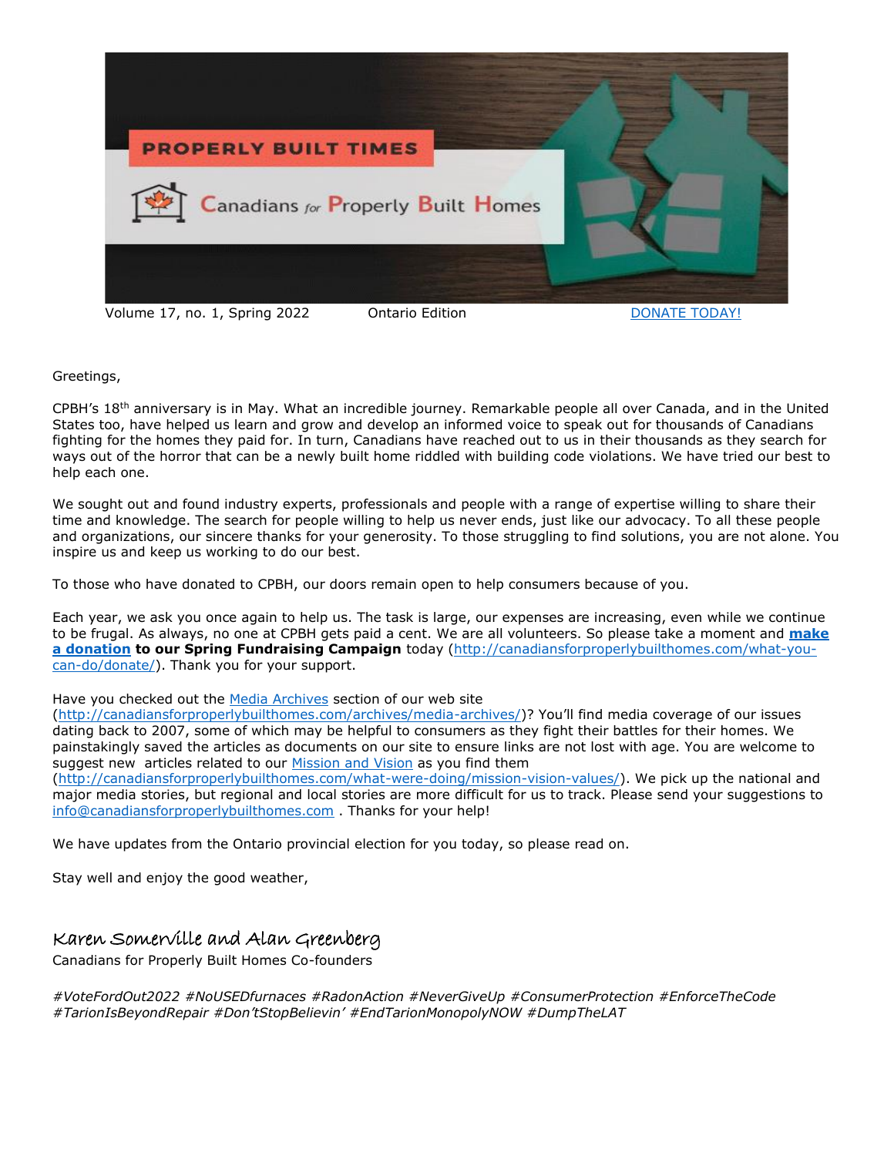

Greetings,

CPBH's 18th anniversary is in May. What an incredible journey. Remarkable people all over Canada, and in the United States too, have helped us learn and grow and develop an informed voice to speak out for thousands of Canadians fighting for the homes they paid for. In turn, Canadians have reached out to us in their thousands as they search for ways out of the horror that can be a newly built home riddled with building code violations. We have tried our best to help each one.

We sought out and found industry experts, professionals and people with a range of expertise willing to share their time and knowledge. The search for people willing to help us never ends, just like our advocacy. To all these people and organizations, our sincere thanks for your generosity. To those struggling to find solutions, you are not alone. You inspire us and keep us working to do our best.

To those who have donated to CPBH, our doors remain open to help consumers because of you.

Each year, we ask you once again to help us. The task is large, our expenses are increasing, even while we continue to be frugal. As always, no one at CPBH gets paid a cent. We are all volunteers. So please take a moment and **[make](http://canadiansforproperlybuilthomes.com/what-you-can-do/donate/)  [a donation](http://canadiansforproperlybuilthomes.com/what-you-can-do/donate/) to our Spring Fundraising Campaign** today [\(http://canadiansforproperlybuilthomes.com/what-you](http://canadiansforproperlybuilthomes.com/what-you-can-do/donate/)[can-do/donate/\)](http://canadiansforproperlybuilthomes.com/what-you-can-do/donate/). Thank you for your support.

#### Have you checked out the [Media Archives](http://canadiansforproperlybuilthomes.com/archives/media-archives/) section of our web site

[\(http://canadiansforproperlybuilthomes.com/archives/media-archives/](http://canadiansforproperlybuilthomes.com/archives/media-archives/))? You'll find media coverage of our issues dating back to 2007, some of which may be helpful to consumers as they fight their battles for their homes. We painstakingly saved the articles as documents on our site to ensure links are not lost with age. You are welcome to suggest new articles related to our [Mission and Vision](http://canadiansforproperlybuilthomes.com/what-were-doing/mission-vision-values/) as you find them

[\(http://canadiansforproperlybuilthomes.com/what-were-doing/mission-vision-values/\)](http://canadiansforproperlybuilthomes.com/what-were-doing/mission-vision-values/). We pick up the national and major media stories, but regional and local stories are more difficult for us to track. Please send your suggestions to [info@canadiansforproperlybuilthomes.com](mailto:info@canadiansforproperlybuilthomes.com) . Thanks for your help!

We have updates from the Ontario provincial election for you today, so please read on.

Stay well and enjoy the good weather,

# Karen Somerville and Alan Greenberg

Canadians for Properly Built Homes Co-founders

*#VoteFordOut2022 #NoUSEDfurnaces #RadonAction #NeverGiveUp #ConsumerProtection #EnforceTheCode #TarionIsBeyondRepair #Don'tStopBelievin' #EndTarionMonopolyNOW #DumpTheLAT*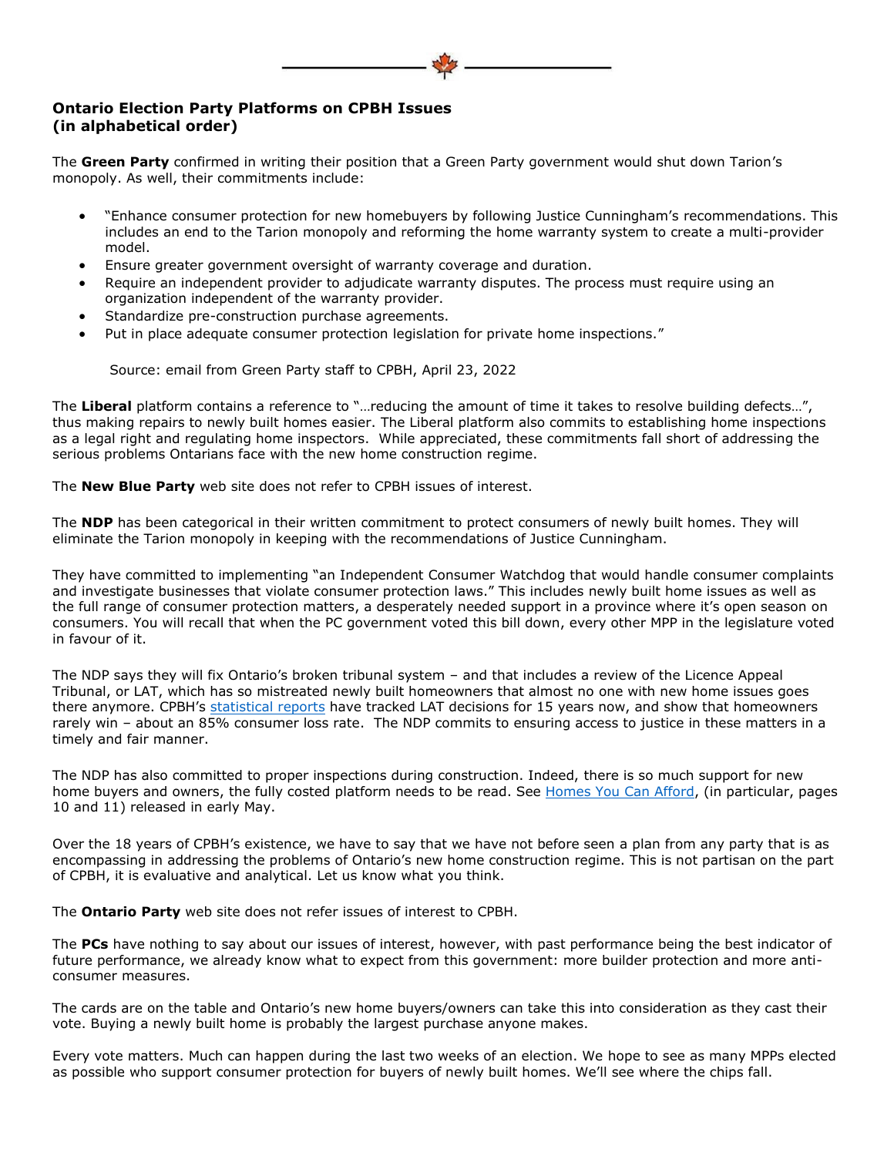## **Ontario Election Party Platforms on CPBH Issues (in alphabetical order)**

The **Green Party** confirmed in writing their position that a Green Party government would shut down Tarion's monopoly. As well, their commitments include:

- "Enhance consumer protection for new homebuyers by following Justice Cunningham's recommendations. This includes an end to the Tarion monopoly and reforming the home warranty system to create a multi-provider model.
- Ensure greater government oversight of warranty coverage and duration.
- Require an independent provider to adjudicate warranty disputes. The process must require using an organization independent of the warranty provider.
- Standardize pre-construction purchase agreements.
- Put in place adequate consumer protection legislation for private home inspections."

Source: email from Green Party staff to CPBH, April 23, 2022

The **Liberal** platform contains a reference to "…reducing the amount of time it takes to resolve building defects…", thus making repairs to newly built homes easier. The Liberal platform also commits to establishing home inspections as a legal right and regulating home inspectors. While appreciated, these commitments fall short of addressing the serious problems Ontarians face with the new home construction regime.

The **New Blue Party** web site does not refer to CPBH issues of interest.

The **NDP** has been categorical in their written commitment to protect consumers of newly built homes. They will eliminate the Tarion monopoly in keeping with the recommendations of Justice Cunningham.

They have committed to implementing "an Independent Consumer Watchdog that would handle consumer complaints and investigate businesses that violate consumer protection laws." This includes newly built home issues as well as the full range of consumer protection matters, a desperately needed support in a province where it's open season on consumers. You will recall that when the PC government voted this bill down, every other MPP in the legislature voted in favour of it.

The NDP says they will fix Ontario's broken tribunal system – and that includes a review of the Licence Appeal Tribunal, or LAT, which has so mistreated newly built homeowners that almost no one with new home issues goes there anymore. CPBH's [statistical reports](http://canadiansforproperlybuilthomes.com/wp-content/uploads/2022/03/2021-final-LAT-Report.pdf) have tracked LAT decisions for 15 years now, and show that homeowners rarely win – about an 85% consumer loss rate. The NDP commits to ensuring access to justice in these matters in a timely and fair manner.

The NDP has also committed to proper inspections during construction. Indeed, there is so much support for new home buyers and owners, the fully costed platform needs to be read. See [Homes You Can Afford,](https://www.ontariondp.ca/sites/default/files/homes_you_can_afford_-_en_-_may5_18h11.pdf) (in particular, pages 10 and 11) released in early May.

Over the 18 years of CPBH's existence, we have to say that we have not before seen a plan from any party that is as encompassing in addressing the problems of Ontario's new home construction regime. This is not partisan on the part of CPBH, it is evaluative and analytical. Let us know what you think.

The **Ontario Party** web site does not refer issues of interest to CPBH.

The **PCs** have nothing to say about our issues of interest, however, with past performance being the best indicator of future performance, we already know what to expect from this government: more builder protection and more anticonsumer measures.

The cards are on the table and Ontario's new home buyers/owners can take this into consideration as they cast their vote. Buying a newly built home is probably the largest purchase anyone makes.

Every vote matters. Much can happen during the last two weeks of an election. We hope to see as many MPPs elected as possible who support consumer protection for buyers of newly built homes. We'll see where the chips fall.